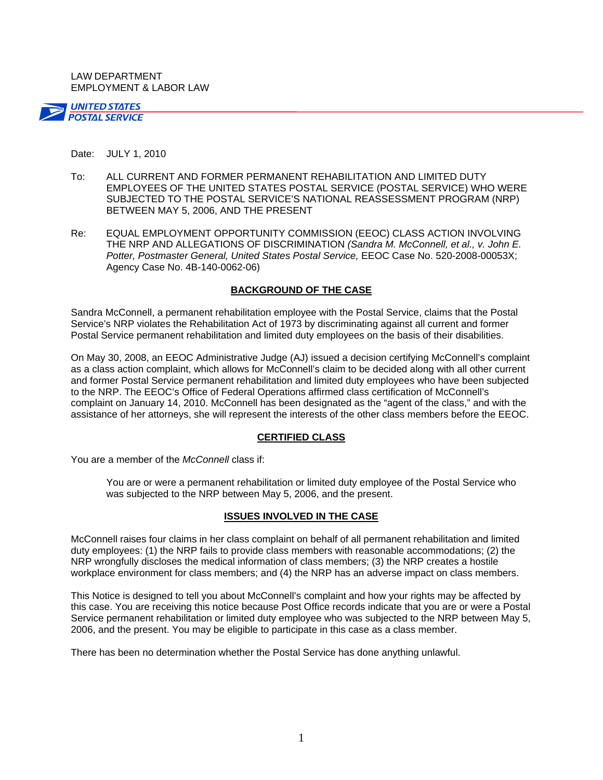LAW DEPARTMENT EMPLOYMENT & LABOR LAW



#### Date: JULY 1, 2010

- To: ALL CURRENT AND FORMER PERMANENT REHABILITATION AND LIMITED DUTY EMPLOYEES OF THE UNITED STATES POSTAL SERVICE (POSTAL SERVICE) WHO WERE SUBJECTED TO THE POSTAL SERVICE'S NATIONAL REASSESSMENT PROGRAM (NRP) BETWEEN MAY 5, 2006, AND THE PRESENT
- Re: EQUAL EMPLOYMENT OPPORTUNITY COMMISSION (EEOC) CLASS ACTION INVOLVING THE NRP AND ALLEGATIONS OF DISCRIMINATION *(Sandra M. McConnell, et al., v. John E. Potter, Postmaster General, United States Postal Service,* EEOC Case No. 520-2008-00053X; Agency Case No. 4B-140-0062-06)

## **BACKGROUND OF THE CASE**

Sandra McConnell, a permanent rehabilitation employee with the Postal Service, claims that the Postal Service's NRP violates the Rehabilitation Act of 1973 by discriminating against all current and former Postal Service permanent rehabilitation and limited duty employees on the basis of their disabilities.

On May 30, 2008, an EEOC Administrative Judge (AJ) issued a decision certifying McConnell's complaint as a class action complaint, which allows for McConnell's claim to be decided along with all other current and former Postal Service permanent rehabilitation and limited duty employees who have been subjected to the NRP. The EEOC's Office of Federal Operations affirmed class certification of McConnell's complaint on January 14, 2010. McConnell has been designated as the "agent of the class," and with the assistance of her attorneys, she will represent the interests of the other class members before the EEOC.

### **CERTIFIED CLASS**

You are a member of the *McConnell* class if:

You are or were a permanent rehabilitation or limited duty employee of the Postal Service who was subjected to the NRP between May 5, 2006, and the present.

# **ISSUES INVOLVED IN THE CASE**

McConnell raises four claims in her class complaint on behalf of all permanent rehabilitation and limited duty employees: (1) the NRP fails to provide class members with reasonable accommodations; (2) the NRP wrongfully discloses the medical information of class members; (3) the NRP creates a hostile workplace environment for class members; and (4) the NRP has an adverse impact on class members.

This Notice is designed to tell you about McConnell's complaint and how your rights may be affected by this case. You are receiving this notice because Post Office records indicate that you are or were a Postal Service permanent rehabilitation or limited duty employee who was subjected to the NRP between May 5, 2006, and the present. You may be eligible to participate in this case as a class member.

There has been no determination whether the Postal Service has done anything unlawful.